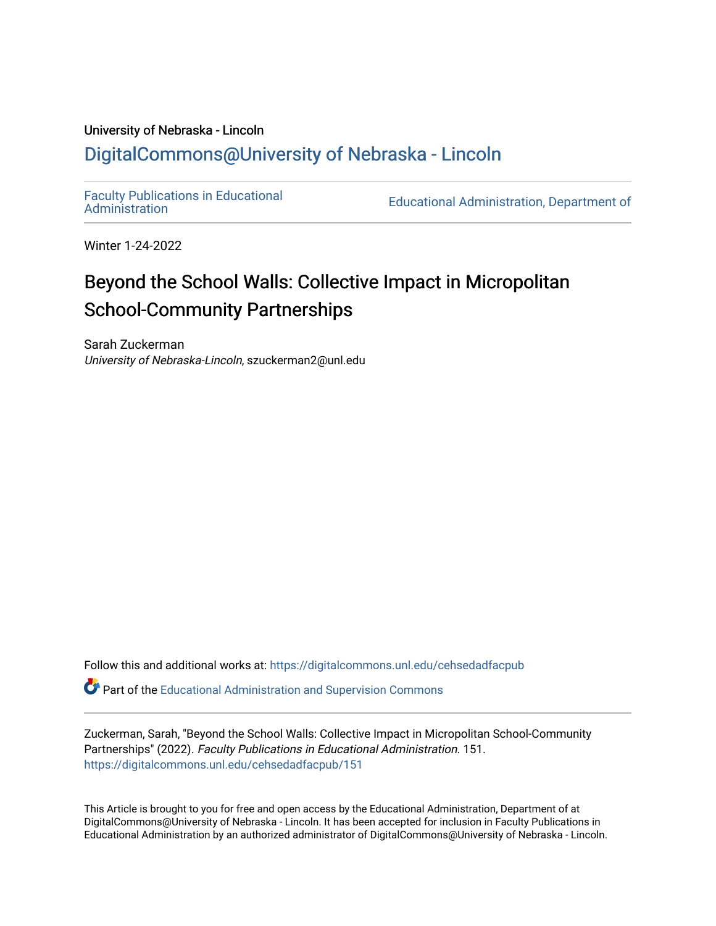# University of Nebraska - Lincoln [DigitalCommons@University of Nebraska - Lincoln](https://digitalcommons.unl.edu/)

[Faculty Publications in Educational](https://digitalcommons.unl.edu/cehsedadfacpub) 

Educational Administration, Department of

Winter 1-24-2022

# Beyond the School Walls: Collective Impact in Micropolitan School-Community Partnerships

Sarah Zuckerman University of Nebraska-Lincoln, szuckerman2@unl.edu

Follow this and additional works at: [https://digitalcommons.unl.edu/cehsedadfacpub](https://digitalcommons.unl.edu/cehsedadfacpub?utm_source=digitalcommons.unl.edu%2Fcehsedadfacpub%2F151&utm_medium=PDF&utm_campaign=PDFCoverPages) 

Part of the [Educational Administration and Supervision Commons](http://network.bepress.com/hgg/discipline/787?utm_source=digitalcommons.unl.edu%2Fcehsedadfacpub%2F151&utm_medium=PDF&utm_campaign=PDFCoverPages)

Zuckerman, Sarah, "Beyond the School Walls: Collective Impact in Micropolitan School-Community Partnerships" (2022). Faculty Publications in Educational Administration. 151. [https://digitalcommons.unl.edu/cehsedadfacpub/151](https://digitalcommons.unl.edu/cehsedadfacpub/151?utm_source=digitalcommons.unl.edu%2Fcehsedadfacpub%2F151&utm_medium=PDF&utm_campaign=PDFCoverPages) 

This Article is brought to you for free and open access by the Educational Administration, Department of at DigitalCommons@University of Nebraska - Lincoln. It has been accepted for inclusion in Faculty Publications in Educational Administration by an authorized administrator of DigitalCommons@University of Nebraska - Lincoln.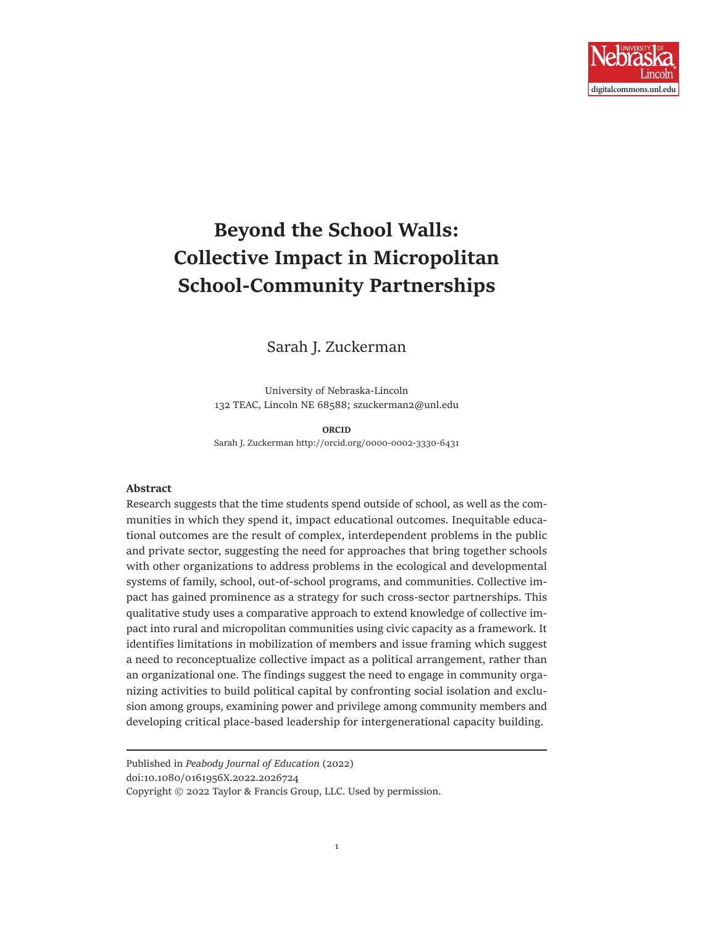

# **Beyond the School Walls: Collective Impact in Micropolitan School-Community Partnerships**

Sarah J. Zuckerman

University of Nebraska-Lincoln 132 TEAC, Lincoln NE 68588; szuckerman2@unl.edu

**ORCID**  Sarah J. Zuckerman http://orcid.org/0000-0002-3330-6431

#### **Abstract**

Research suggests that the time students spend outside of school, as well as the communities in which they spend it, impact educational outcomes. Inequitable educational outcomes are the result of complex, interdependent problems in the public and private sector, suggesting the need for approaches that bring together schools with other organizations to address problems in the ecological and developmental systems of family, school, out-of-school programs, and communities. Collective impact has gained prominence as a strategy for such cross-sector partnerships. This qualitative study uses a comparative approach to extend knowledge of collective impact into rural and micropolitan communities using civic capacity as a framework. It identifies limitations in mobilization of members and issue framing which suggest a need to reconceptualize collective impact as a political arrangement, rather than an organizational one. The findings suggest the need to engage in community organizing activities to build political capital by confronting social isolation and exclusion among groups, examining power and privilege among community members and developing critical place-based leadership for intergenerational capacity building.

Published in *Peabody Journal of Education* (2022) doi:10.1080/0161956X.2022.2026724 Copyright © 2022 Taylor & Francis Group, LLC. Used by permission.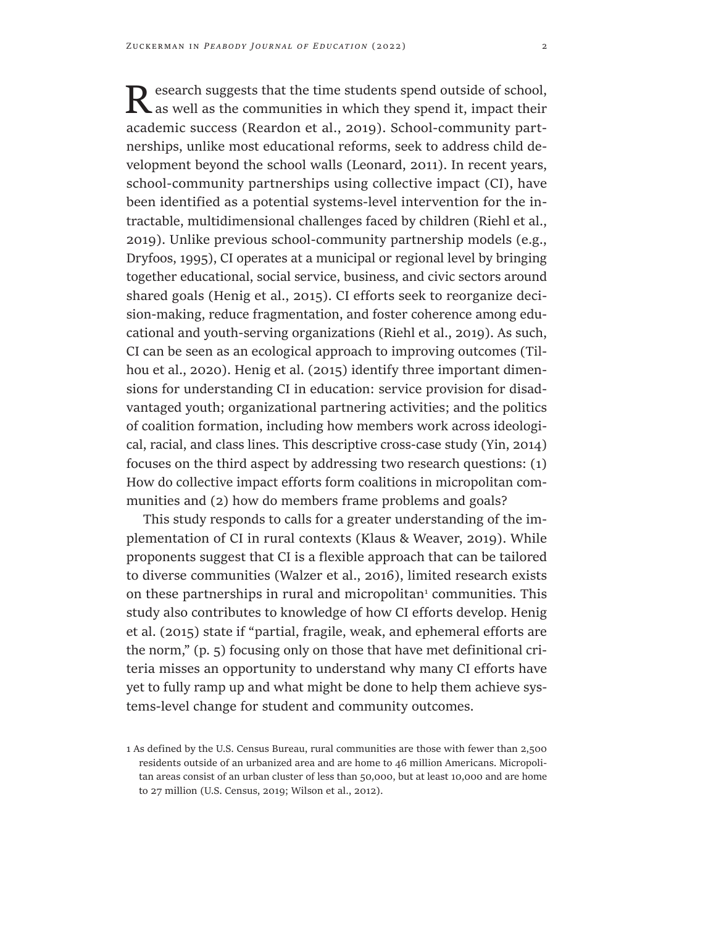Research suggests that the time students spend outside of school, as well as the communities in which they spend it, impact their academic success (Reardon et al., 2019). School-community partnerships, unlike most educational reforms, seek to address child development beyond the school walls (Leonard, 2011). In recent years, school-community partnerships using collective impact (CI), have been identified as a potential systems-level intervention for the intractable, multidimensional challenges faced by children (Riehl et al., 2019). Unlike previous school-community partnership models (e.g., Dryfoos, 1995), CI operates at a municipal or regional level by bringing together educational, social service, business, and civic sectors around shared goals (Henig et al., 2015). CI efforts seek to reorganize decision-making, reduce fragmentation, and foster coherence among educational and youth-serving organizations (Riehl et al., 2019). As such, CI can be seen as an ecological approach to improving outcomes (Tilhou et al., 2020). Henig et al. (2015) identify three important dimensions for understanding CI in education: service provision for disadvantaged youth; organizational partnering activities; and the politics of coalition formation, including how members work across ideological, racial, and class lines. This descriptive cross-case study (Yin, 2014) focuses on the third aspect by addressing two research questions: (1) How do collective impact efforts form coalitions in micropolitan communities and (2) how do members frame problems and goals?

This study responds to calls for a greater understanding of the implementation of CI in rural contexts (Klaus & Weaver, 2019). While proponents suggest that CI is a flexible approach that can be tailored to diverse communities (Walzer et al., 2016), limited research exists on these partnerships in rural and micropolitan<sup>1</sup> communities. This study also contributes to knowledge of how CI efforts develop. Henig et al. (2015) state if "partial, fragile, weak, and ephemeral efforts are the norm," (p. 5) focusing only on those that have met definitional criteria misses an opportunity to understand why many CI efforts have yet to fully ramp up and what might be done to help them achieve systems-level change for student and community outcomes.

<sup>1</sup> As defined by the U.S. Census Bureau, rural communities are those with fewer than 2,500 residents outside of an urbanized area and are home to 46 million Americans. Micropolitan areas consist of an urban cluster of less than 50,000, but at least 10,000 and are home to 27 million (U.S. Census, 2019; Wilson et al., 2012).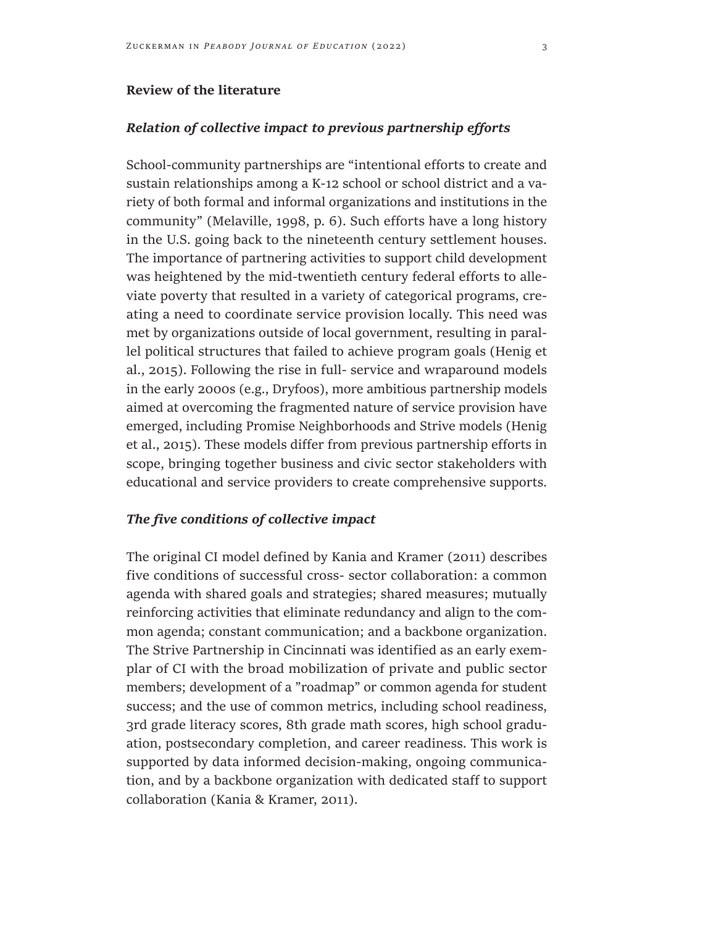### **Review of the literature**

# *Relation of collective impact to previous partnership efforts*

School-community partnerships are "intentional efforts to create and sustain relationships among a K-12 school or school district and a variety of both formal and informal organizations and institutions in the community" (Melaville, 1998, p. 6). Such efforts have a long history in the U.S. going back to the nineteenth century settlement houses. The importance of partnering activities to support child development was heightened by the mid-twentieth century federal efforts to alleviate poverty that resulted in a variety of categorical programs, creating a need to coordinate service provision locally. This need was met by organizations outside of local government, resulting in parallel political structures that failed to achieve program goals (Henig et al., 2015). Following the rise in full- service and wraparound models in the early 2000s (e.g., Dryfoos), more ambitious partnership models aimed at overcoming the fragmented nature of service provision have emerged, including Promise Neighborhoods and Strive models (Henig et al., 2015). These models differ from previous partnership efforts in scope, bringing together business and civic sector stakeholders with educational and service providers to create comprehensive supports.

# *The five conditions of collective impact*

The original CI model defined by Kania and Kramer (2011) describes five conditions of successful cross- sector collaboration: a common agenda with shared goals and strategies; shared measures; mutually reinforcing activities that eliminate redundancy and align to the common agenda; constant communication; and a backbone organization. The Strive Partnership in Cincinnati was identified as an early exemplar of CI with the broad mobilization of private and public sector members; development of a "roadmap" or common agenda for student success; and the use of common metrics, including school readiness, 3rd grade literacy scores, 8th grade math scores, high school graduation, postsecondary completion, and career readiness. This work is supported by data informed decision-making, ongoing communication, and by a backbone organization with dedicated staff to support collaboration (Kania & Kramer, 2011).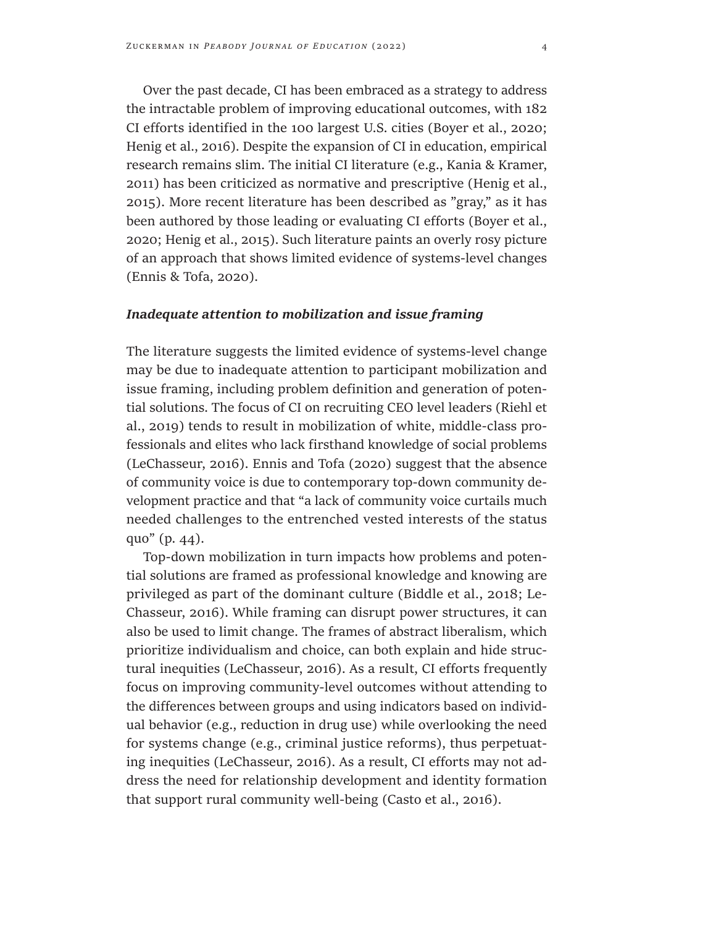Over the past decade, CI has been embraced as a strategy to address the intractable problem of improving educational outcomes, with 182 CI efforts identified in the 100 largest U.S. cities (Boyer et al., 2020; Henig et al., 2016). Despite the expansion of CI in education, empirical research remains slim. The initial CI literature (e.g., Kania & Kramer, 2011) has been criticized as normative and prescriptive (Henig et al., 2015). More recent literature has been described as "gray," as it has been authored by those leading or evaluating CI efforts (Boyer et al., 2020; Henig et al., 2015). Such literature paints an overly rosy picture of an approach that shows limited evidence of systems-level changes (Ennis & Tofa, 2020).

#### *Inadequate attention to mobilization and issue framing*

The literature suggests the limited evidence of systems-level change may be due to inadequate attention to participant mobilization and issue framing, including problem definition and generation of potential solutions. The focus of CI on recruiting CEO level leaders (Riehl et al., 2019) tends to result in mobilization of white, middle-class professionals and elites who lack firsthand knowledge of social problems (LeChasseur, 2016). Ennis and Tofa (2020) suggest that the absence of community voice is due to contemporary top-down community development practice and that "a lack of community voice curtails much needed challenges to the entrenched vested interests of the status quo" (p. 44).

Top-down mobilization in turn impacts how problems and potential solutions are framed as professional knowledge and knowing are privileged as part of the dominant culture (Biddle et al., 2018; Le-Chasseur, 2016). While framing can disrupt power structures, it can also be used to limit change. The frames of abstract liberalism, which prioritize individualism and choice, can both explain and hide structural inequities (LeChasseur, 2016). As a result, CI efforts frequently focus on improving community-level outcomes without attending to the differences between groups and using indicators based on individual behavior (e.g., reduction in drug use) while overlooking the need for systems change (e.g., criminal justice reforms), thus perpetuating inequities (LeChasseur, 2016). As a result, CI efforts may not address the need for relationship development and identity formation that support rural community well-being (Casto et al., 2016).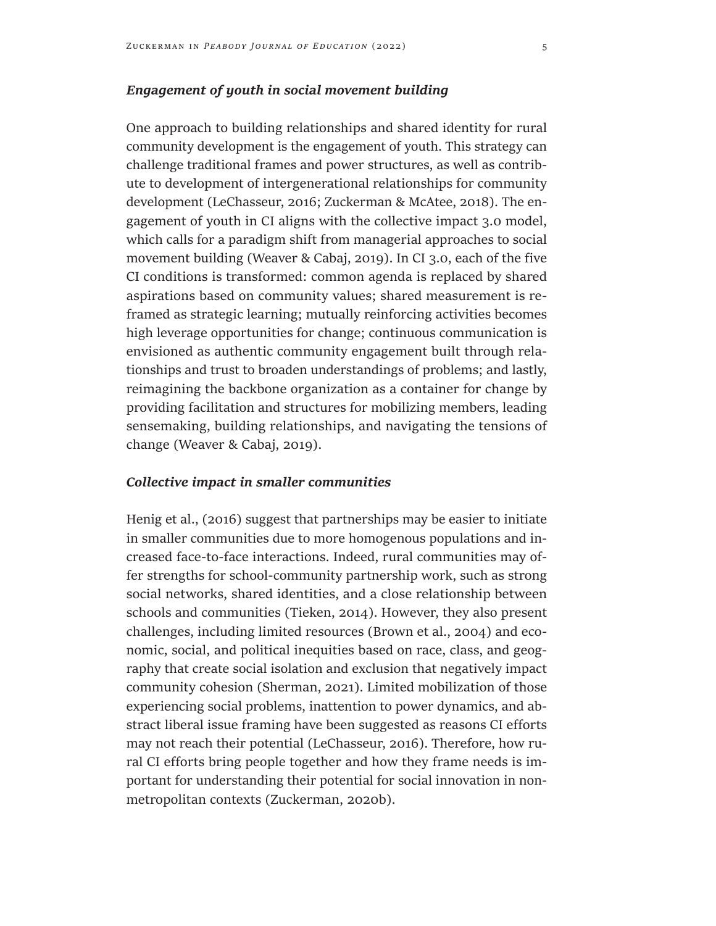### *Engagement of youth in social movement building*

One approach to building relationships and shared identity for rural community development is the engagement of youth. This strategy can challenge traditional frames and power structures, as well as contribute to development of intergenerational relationships for community development (LeChasseur, 2016; Zuckerman & McAtee, 2018). The engagement of youth in CI aligns with the collective impact 3.0 model, which calls for a paradigm shift from managerial approaches to social movement building (Weaver & Cabaj, 2019). In CI 3.0, each of the five CI conditions is transformed: common agenda is replaced by shared aspirations based on community values; shared measurement is reframed as strategic learning; mutually reinforcing activities becomes high leverage opportunities for change; continuous communication is envisioned as authentic community engagement built through relationships and trust to broaden understandings of problems; and lastly, reimagining the backbone organization as a container for change by providing facilitation and structures for mobilizing members, leading sensemaking, building relationships, and navigating the tensions of change (Weaver & Cabaj, 2019).

#### *Collective impact in smaller communities*

Henig et al., (2016) suggest that partnerships may be easier to initiate in smaller communities due to more homogenous populations and increased face-to-face interactions. Indeed, rural communities may offer strengths for school-community partnership work, such as strong social networks, shared identities, and a close relationship between schools and communities (Tieken, 2014). However, they also present challenges, including limited resources (Brown et al., 2004) and economic, social, and political inequities based on race, class, and geography that create social isolation and exclusion that negatively impact community cohesion (Sherman, 2021). Limited mobilization of those experiencing social problems, inattention to power dynamics, and abstract liberal issue framing have been suggested as reasons CI efforts may not reach their potential (LeChasseur, 2016). Therefore, how rural CI efforts bring people together and how they frame needs is important for understanding their potential for social innovation in nonmetropolitan contexts (Zuckerman, 2020b).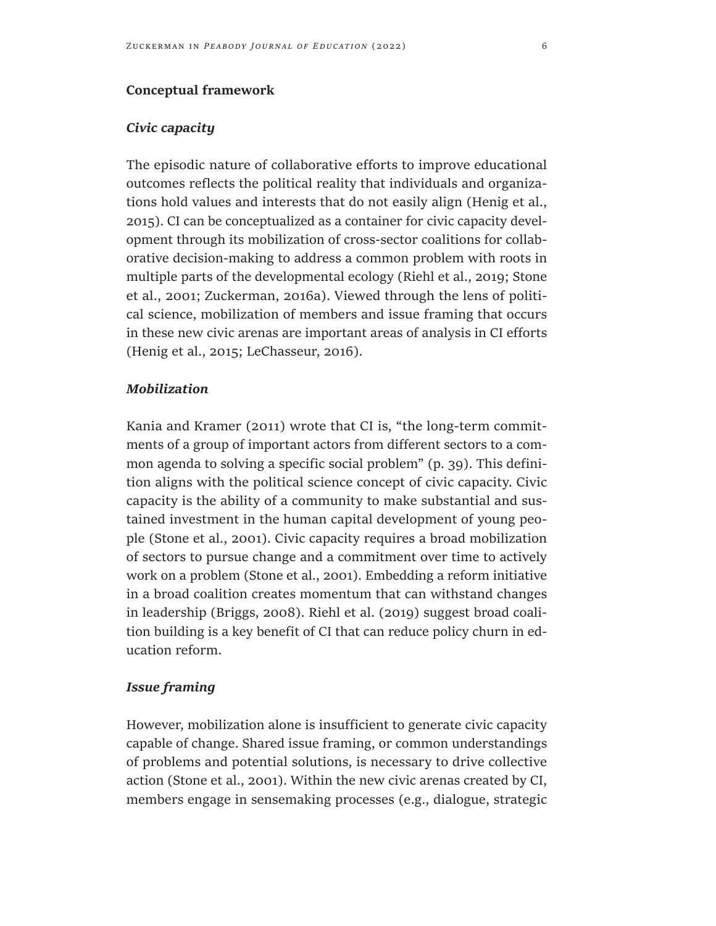### **Conceptual framework**

# *Civic capacity*

The episodic nature of collaborative efforts to improve educational outcomes reflects the political reality that individuals and organizations hold values and interests that do not easily align (Henig et al., 2015). CI can be conceptualized as a container for civic capacity development through its mobilization of cross-sector coalitions for collaborative decision-making to address a common problem with roots in multiple parts of the developmental ecology (Riehl et al., 2019; Stone et al., 2001; Zuckerman, 2016a). Viewed through the lens of political science, mobilization of members and issue framing that occurs in these new civic arenas are important areas of analysis in CI efforts (Henig et al., 2015; LeChasseur, 2016).

# *Mobilization*

Kania and Kramer (2011) wrote that CI is, "the long-term commitments of a group of important actors from different sectors to a common agenda to solving a specific social problem" (p. 39). This definition aligns with the political science concept of civic capacity. Civic capacity is the ability of a community to make substantial and sustained investment in the human capital development of young people (Stone et al., 2001). Civic capacity requires a broad mobilization of sectors to pursue change and a commitment over time to actively work on a problem (Stone et al., 2001). Embedding a reform initiative in a broad coalition creates momentum that can withstand changes in leadership (Briggs, 2008). Riehl et al. (2019) suggest broad coalition building is a key benefit of CI that can reduce policy churn in education reform.

# *Issue framing*

However, mobilization alone is insufficient to generate civic capacity capable of change. Shared issue framing, or common understandings of problems and potential solutions, is necessary to drive collective action (Stone et al., 2001). Within the new civic arenas created by CI, members engage in sensemaking processes (e.g., dialogue, strategic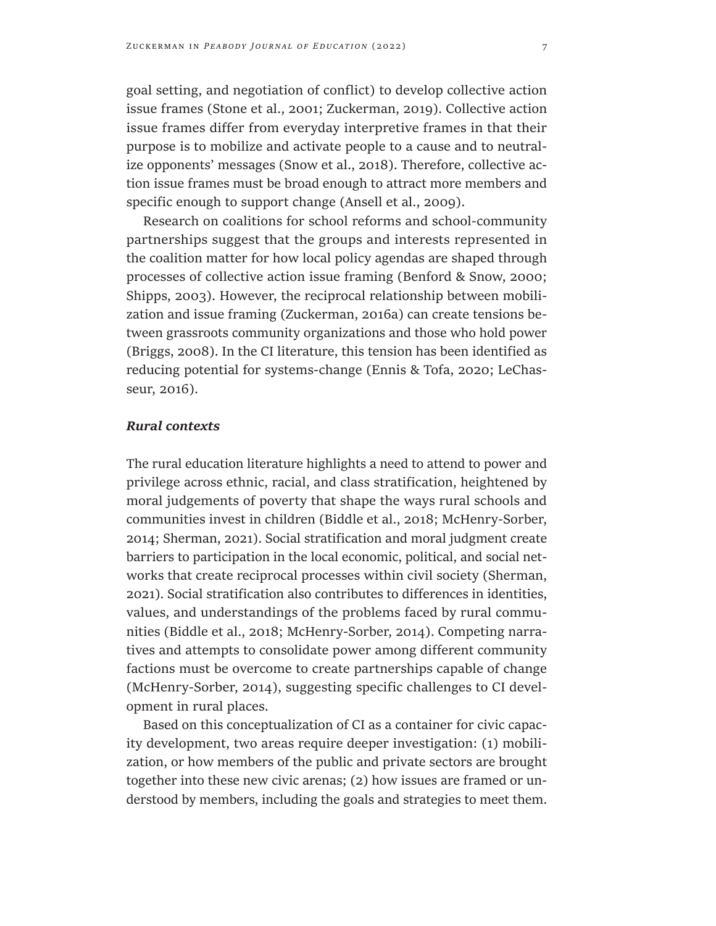goal setting, and negotiation of conflict) to develop collective action issue frames (Stone et al., 2001; Zuckerman, 2019). Collective action issue frames differ from everyday interpretive frames in that their purpose is to mobilize and activate people to a cause and to neutralize opponents' messages (Snow et al., 2018). Therefore, collective action issue frames must be broad enough to attract more members and specific enough to support change (Ansell et al., 2009).

Research on coalitions for school reforms and school-community partnerships suggest that the groups and interests represented in the coalition matter for how local policy agendas are shaped through processes of collective action issue framing (Benford & Snow, 2000; Shipps, 2003). However, the reciprocal relationship between mobilization and issue framing (Zuckerman, 2016a) can create tensions between grassroots community organizations and those who hold power (Briggs, 2008). In the CI literature, this tension has been identified as reducing potential for systems-change (Ennis & Tofa, 2020; LeChasseur, 2016).

#### *Rural contexts*

The rural education literature highlights a need to attend to power and privilege across ethnic, racial, and class stratification, heightened by moral judgements of poverty that shape the ways rural schools and communities invest in children (Biddle et al., 2018; McHenry-Sorber, 2014; Sherman, 2021). Social stratification and moral judgment create barriers to participation in the local economic, political, and social networks that create reciprocal processes within civil society (Sherman, 2021). Social stratification also contributes to differences in identities, values, and understandings of the problems faced by rural communities (Biddle et al., 2018; McHenry-Sorber, 2014). Competing narratives and attempts to consolidate power among different community factions must be overcome to create partnerships capable of change (McHenry-Sorber, 2014), suggesting specific challenges to CI development in rural places.

Based on this conceptualization of CI as a container for civic capacity development, two areas require deeper investigation: (1) mobilization, or how members of the public and private sectors are brought together into these new civic arenas; (2) how issues are framed or understood by members, including the goals and strategies to meet them.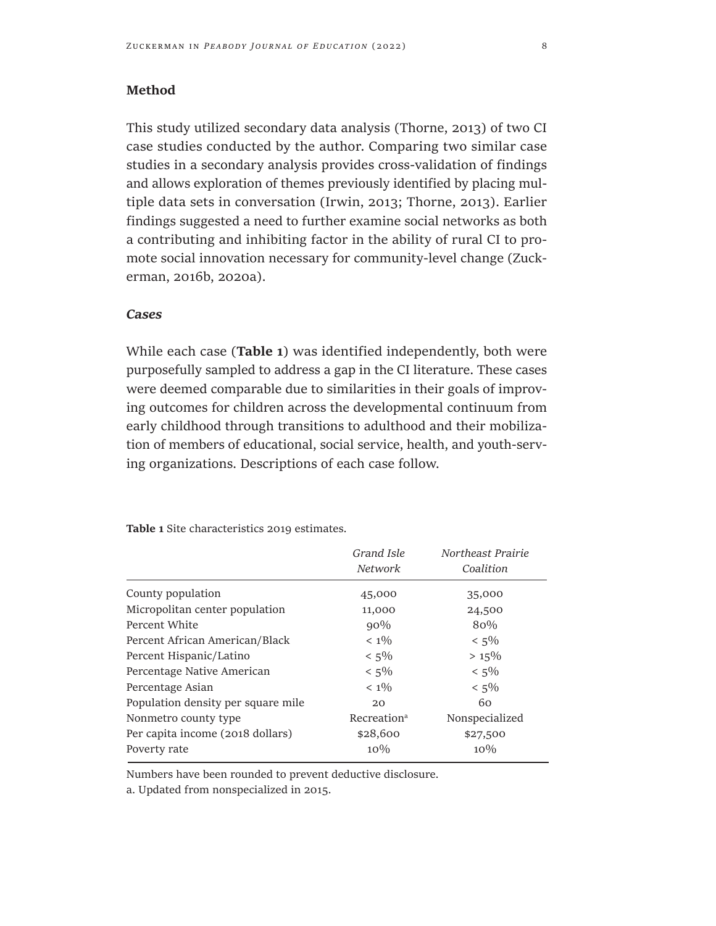This study utilized secondary data analysis (Thorne, 2013) of two CI case studies conducted by the author. Comparing two similar case studies in a secondary analysis provides cross-validation of findings and allows exploration of themes previously identified by placing multiple data sets in conversation (Irwin, 2013; Thorne, 2013). Earlier findings suggested a need to further examine social networks as both a contributing and inhibiting factor in the ability of rural CI to promote social innovation necessary for community-level change (Zuckerman, 2016b, 2020a).

#### *Cases*

While each case (**Table 1**) was identified independently, both were purposefully sampled to address a gap in the CI literature. These cases were deemed comparable due to similarities in their goals of improving outcomes for children across the developmental continuum from early childhood through transitions to adulthood and their mobilization of members of educational, social service, health, and youth-serving organizations. Descriptions of each case follow.

**Table 1** Site characteristics 2019 estimates.

|                                    | Grand Isle<br>Network   | Northeast Prairie<br>Coalition |
|------------------------------------|-------------------------|--------------------------------|
| County population                  | 45,000                  | 35,000                         |
| Micropolitan center population     | 11,000                  | 24,500                         |
| Percent White                      | $90\%$                  | 80%                            |
| Percent African American/Black     | $< 1\%$                 | $< 5\%$                        |
| Percent Hispanic/Latino            | $< 5\%$                 | $> 15\%$                       |
| Percentage Native American         | $< 5\%$                 | $< 5\%$                        |
| Percentage Asian                   | $< 1\%$                 | $< 5\%$                        |
| Population density per square mile | 20                      | 60                             |
| Nonmetro county type               | Recreation <sup>a</sup> | Nonspecialized                 |
| Per capita income (2018 dollars)   | \$28,600                | \$27,500                       |
| Poverty rate                       | $10\%$                  | $10\%$                         |

Numbers have been rounded to prevent deductive disclosure.

a. Updated from nonspecialized in 2015.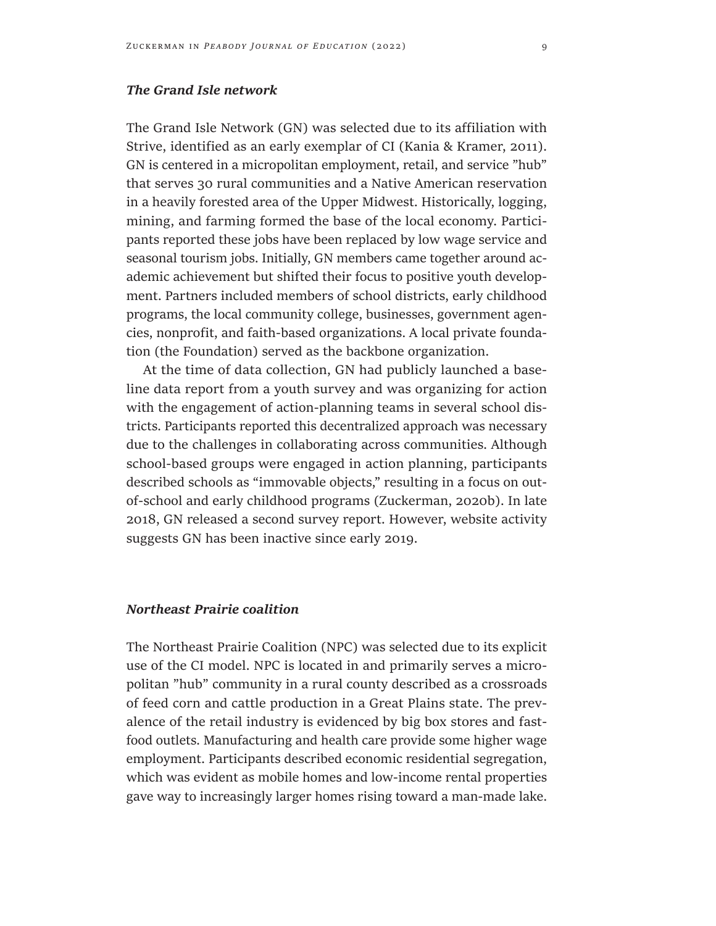### *The Grand Isle network*

The Grand Isle Network (GN) was selected due to its affiliation with Strive, identified as an early exemplar of CI (Kania & Kramer, 2011). GN is centered in a micropolitan employment, retail, and service "hub" that serves 30 rural communities and a Native American reservation in a heavily forested area of the Upper Midwest. Historically, logging, mining, and farming formed the base of the local economy. Participants reported these jobs have been replaced by low wage service and seasonal tourism jobs. Initially, GN members came together around academic achievement but shifted their focus to positive youth development. Partners included members of school districts, early childhood programs, the local community college, businesses, government agencies, nonprofit, and faith-based organizations. A local private foundation (the Foundation) served as the backbone organization.

At the time of data collection, GN had publicly launched a baseline data report from a youth survey and was organizing for action with the engagement of action-planning teams in several school districts. Participants reported this decentralized approach was necessary due to the challenges in collaborating across communities. Although school-based groups were engaged in action planning, participants described schools as "immovable objects," resulting in a focus on outof-school and early childhood programs (Zuckerman, 2020b). In late 2018, GN released a second survey report. However, website activity suggests GN has been inactive since early 2019.

### *Northeast Prairie coalition*

The Northeast Prairie Coalition (NPC) was selected due to its explicit use of the CI model. NPC is located in and primarily serves a micropolitan "hub" community in a rural county described as a crossroads of feed corn and cattle production in a Great Plains state. The prevalence of the retail industry is evidenced by big box stores and fastfood outlets. Manufacturing and health care provide some higher wage employment. Participants described economic residential segregation, which was evident as mobile homes and low-income rental properties gave way to increasingly larger homes rising toward a man-made lake.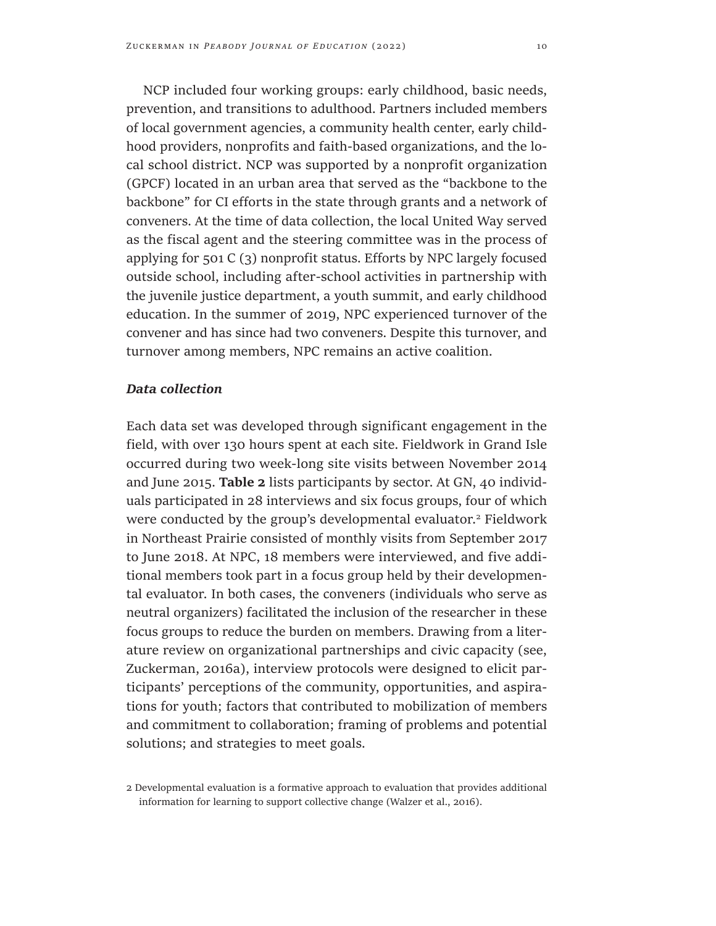NCP included four working groups: early childhood, basic needs, prevention, and transitions to adulthood. Partners included members of local government agencies, a community health center, early childhood providers, nonprofits and faith-based organizations, and the local school district. NCP was supported by a nonprofit organization (GPCF) located in an urban area that served as the "backbone to the backbone" for CI efforts in the state through grants and a network of conveners. At the time of data collection, the local United Way served as the fiscal agent and the steering committee was in the process of applying for 501 C (3) nonprofit status. Efforts by NPC largely focused outside school, including after-school activities in partnership with the juvenile justice department, a youth summit, and early childhood education. In the summer of 2019, NPC experienced turnover of the convener and has since had two conveners. Despite this turnover, and turnover among members, NPC remains an active coalition.

#### *Data collection*

Each data set was developed through significant engagement in the field, with over 130 hours spent at each site. Fieldwork in Grand Isle occurred during two week-long site visits between November 2014 and June 2015. **Table 2** lists participants by sector. At GN, 40 individuals participated in 28 interviews and six focus groups, four of which were conducted by the group's developmental evaluator.<sup>2</sup> Fieldwork in Northeast Prairie consisted of monthly visits from September 2017 to June 2018. At NPC, 18 members were interviewed, and five additional members took part in a focus group held by their developmental evaluator. In both cases, the conveners (individuals who serve as neutral organizers) facilitated the inclusion of the researcher in these focus groups to reduce the burden on members. Drawing from a literature review on organizational partnerships and civic capacity (see, Zuckerman, 2016a), interview protocols were designed to elicit participants' perceptions of the community, opportunities, and aspirations for youth; factors that contributed to mobilization of members and commitment to collaboration; framing of problems and potential solutions; and strategies to meet goals.

<sup>2</sup> Developmental evaluation is a formative approach to evaluation that provides additional information for learning to support collective change (Walzer et al., 2016).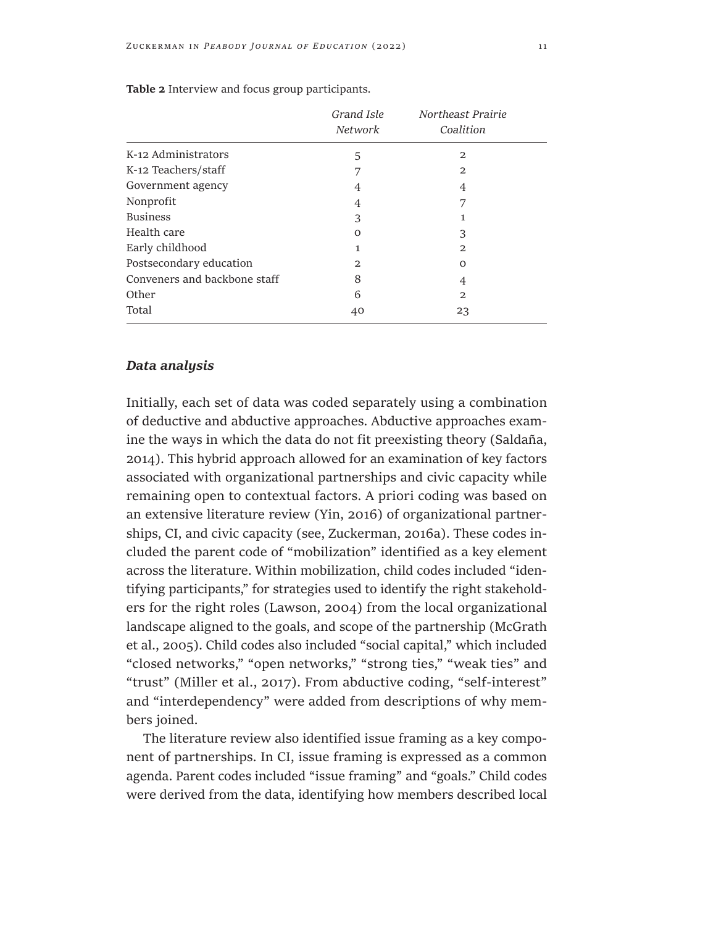|                              | Grand Isle<br>Network | Northeast Prairie<br>Coalition |
|------------------------------|-----------------------|--------------------------------|
| K-12 Administrators          | 5                     | 2                              |
| K-12 Teachers/staff          | 7                     | 2                              |
| Government agency            | 4                     | 4                              |
| Nonprofit                    | 4                     | 7                              |
| <b>Business</b>              | 3                     |                                |
| Health care                  | $\Omega$              | 3                              |
| Early childhood              | 1                     | 2                              |
| Postsecondary education      | 2                     | $\Omega$                       |
| Conveners and backbone staff | 8                     | 4                              |
| Other                        | 6                     | 2                              |
| Total                        | 40                    | 23                             |

**Table 2** Interview and focus group participants.

# *Data analysis*

Initially, each set of data was coded separately using a combination of deductive and abductive approaches. Abductive approaches examine the ways in which the data do not fit preexisting theory (Saldaña, 2014). This hybrid approach allowed for an examination of key factors associated with organizational partnerships and civic capacity while remaining open to contextual factors. A priori coding was based on an extensive literature review (Yin, 2016) of organizational partnerships, CI, and civic capacity (see, Zuckerman, 2016a). These codes included the parent code of "mobilization" identified as a key element across the literature. Within mobilization, child codes included "identifying participants," for strategies used to identify the right stakeholders for the right roles (Lawson, 2004) from the local organizational landscape aligned to the goals, and scope of the partnership (McGrath et al., 2005). Child codes also included "social capital," which included "closed networks," "open networks," "strong ties," "weak ties" and "trust" (Miller et al., 2017). From abductive coding, "self-interest" and "interdependency" were added from descriptions of why members joined.

The literature review also identified issue framing as a key component of partnerships. In CI, issue framing is expressed as a common agenda. Parent codes included "issue framing" and "goals." Child codes were derived from the data, identifying how members described local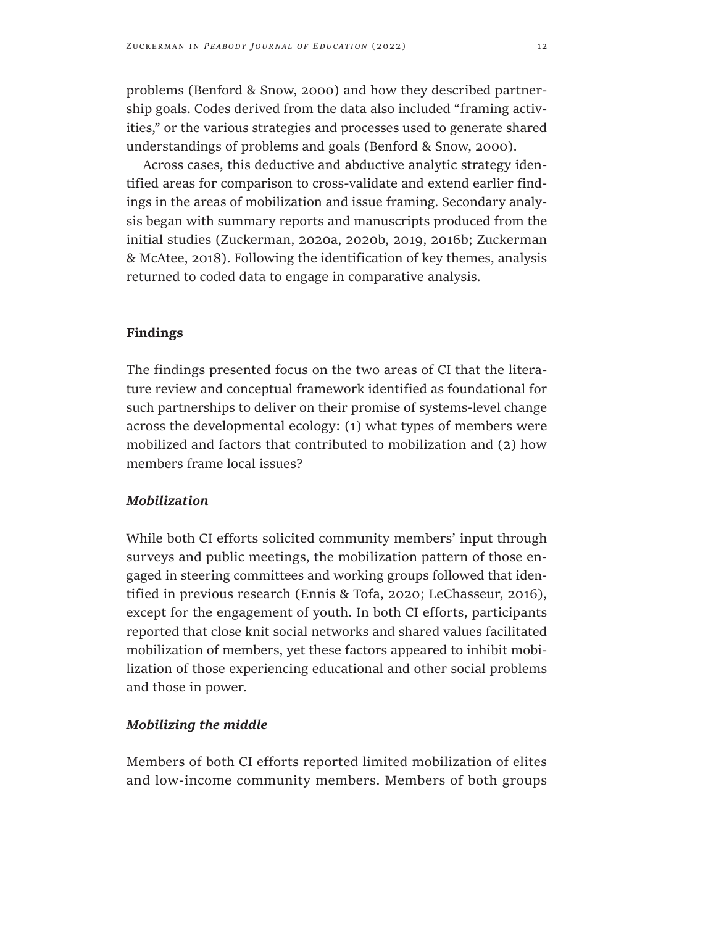problems (Benford & Snow, 2000) and how they described partnership goals. Codes derived from the data also included "framing activities," or the various strategies and processes used to generate shared understandings of problems and goals (Benford & Snow, 2000).

Across cases, this deductive and abductive analytic strategy identified areas for comparison to cross-validate and extend earlier findings in the areas of mobilization and issue framing. Secondary analysis began with summary reports and manuscripts produced from the initial studies (Zuckerman, 2020a, 2020b, 2019, 2016b; Zuckerman & McAtee, 2018). Following the identification of key themes, analysis returned to coded data to engage in comparative analysis.

#### **Findings**

The findings presented focus on the two areas of CI that the literature review and conceptual framework identified as foundational for such partnerships to deliver on their promise of systems-level change across the developmental ecology: (1) what types of members were mobilized and factors that contributed to mobilization and (2) how members frame local issues?

# *Mobilization*

While both CI efforts solicited community members' input through surveys and public meetings, the mobilization pattern of those engaged in steering committees and working groups followed that identified in previous research (Ennis & Tofa, 2020; LeChasseur, 2016), except for the engagement of youth. In both CI efforts, participants reported that close knit social networks and shared values facilitated mobilization of members, yet these factors appeared to inhibit mobilization of those experiencing educational and other social problems and those in power.

#### *Mobilizing the middle*

Members of both CI efforts reported limited mobilization of elites and low-income community members. Members of both groups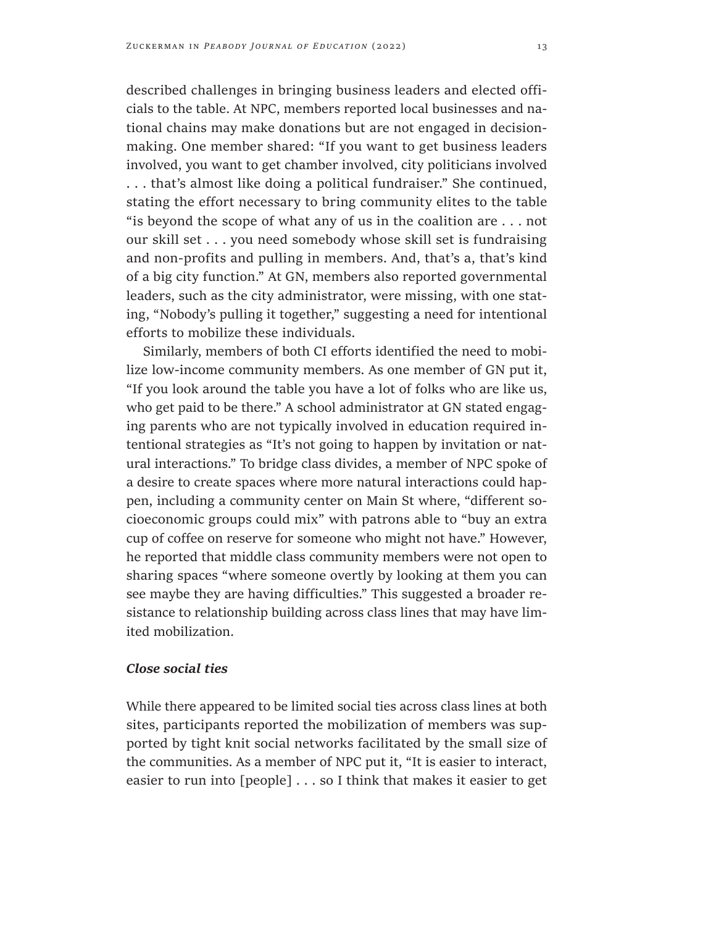described challenges in bringing business leaders and elected officials to the table. At NPC, members reported local businesses and national chains may make donations but are not engaged in decisionmaking. One member shared: "If you want to get business leaders involved, you want to get chamber involved, city politicians involved . . . that's almost like doing a political fundraiser." She continued, stating the effort necessary to bring community elites to the table "is beyond the scope of what any of us in the coalition are . . . not our skill set . . . you need somebody whose skill set is fundraising and non-profits and pulling in members. And, that's a, that's kind of a big city function." At GN, members also reported governmental leaders, such as the city administrator, were missing, with one stating, "Nobody's pulling it together," suggesting a need for intentional efforts to mobilize these individuals.

Similarly, members of both CI efforts identified the need to mobilize low-income community members. As one member of GN put it, "If you look around the table you have a lot of folks who are like us, who get paid to be there." A school administrator at GN stated engaging parents who are not typically involved in education required intentional strategies as "It's not going to happen by invitation or natural interactions." To bridge class divides, a member of NPC spoke of a desire to create spaces where more natural interactions could happen, including a community center on Main St where, "different socioeconomic groups could mix" with patrons able to "buy an extra cup of coffee on reserve for someone who might not have." However, he reported that middle class community members were not open to sharing spaces "where someone overtly by looking at them you can see maybe they are having difficulties." This suggested a broader resistance to relationship building across class lines that may have limited mobilization.

#### *Close social ties*

While there appeared to be limited social ties across class lines at both sites, participants reported the mobilization of members was supported by tight knit social networks facilitated by the small size of the communities. As a member of NPC put it, "It is easier to interact, easier to run into [people] . . . so I think that makes it easier to get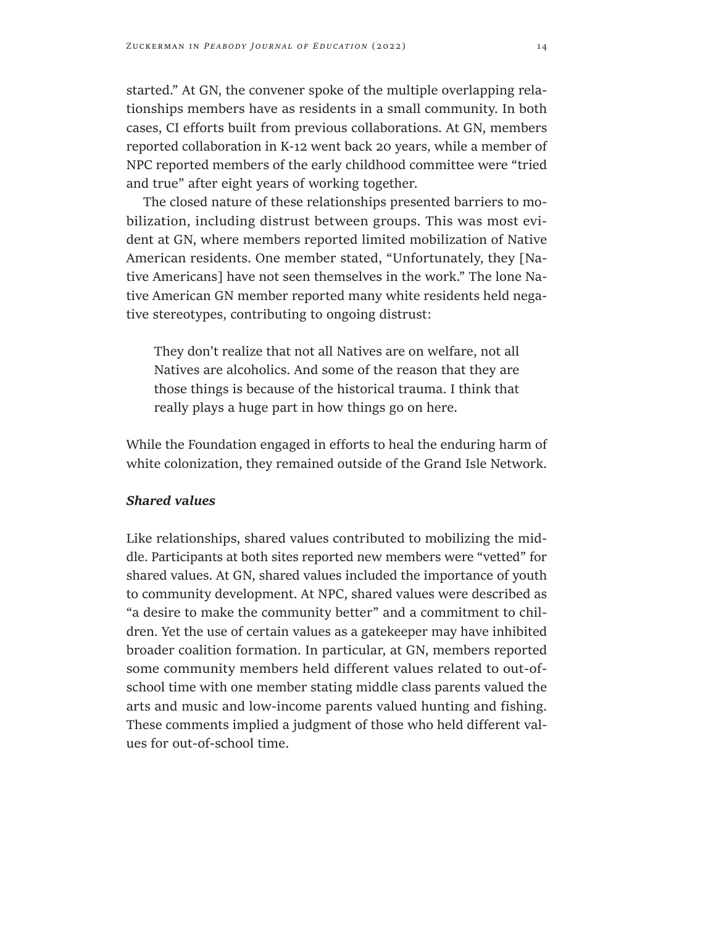started." At GN, the convener spoke of the multiple overlapping relationships members have as residents in a small community. In both cases, CI efforts built from previous collaborations. At GN, members reported collaboration in K-12 went back 20 years, while a member of NPC reported members of the early childhood committee were "tried and true" after eight years of working together.

The closed nature of these relationships presented barriers to mobilization, including distrust between groups. This was most evident at GN, where members reported limited mobilization of Native American residents. One member stated, "Unfortunately, they [Native Americans] have not seen themselves in the work." The lone Native American GN member reported many white residents held negative stereotypes, contributing to ongoing distrust:

They don't realize that not all Natives are on welfare, not all Natives are alcoholics. And some of the reason that they are those things is because of the historical trauma. I think that really plays a huge part in how things go on here.

While the Foundation engaged in efforts to heal the enduring harm of white colonization, they remained outside of the Grand Isle Network.

# *Shared values*

Like relationships, shared values contributed to mobilizing the middle. Participants at both sites reported new members were "vetted" for shared values. At GN, shared values included the importance of youth to community development. At NPC, shared values were described as "a desire to make the community better" and a commitment to children. Yet the use of certain values as a gatekeeper may have inhibited broader coalition formation. In particular, at GN, members reported some community members held different values related to out-ofschool time with one member stating middle class parents valued the arts and music and low-income parents valued hunting and fishing. These comments implied a judgment of those who held different values for out-of-school time.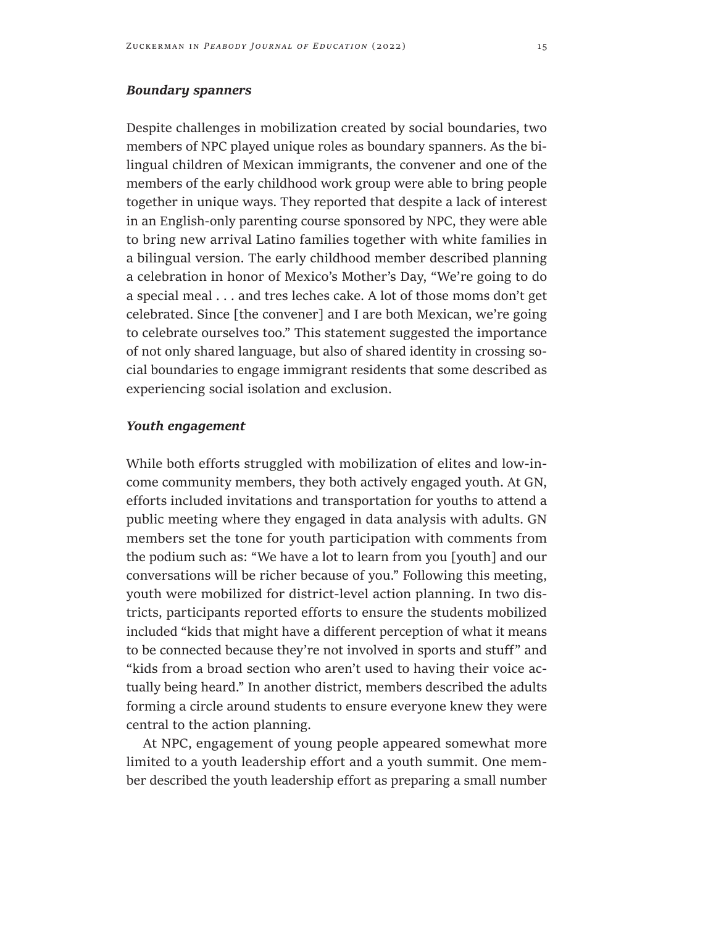# *Boundary spanners*

Despite challenges in mobilization created by social boundaries, two members of NPC played unique roles as boundary spanners. As the bilingual children of Mexican immigrants, the convener and one of the members of the early childhood work group were able to bring people together in unique ways. They reported that despite a lack of interest in an English-only parenting course sponsored by NPC, they were able to bring new arrival Latino families together with white families in a bilingual version. The early childhood member described planning a celebration in honor of Mexico's Mother's Day, "We're going to do a special meal . . . and tres leches cake. A lot of those moms don't get celebrated. Since [the convener] and I are both Mexican, we're going to celebrate ourselves too." This statement suggested the importance of not only shared language, but also of shared identity in crossing social boundaries to engage immigrant residents that some described as experiencing social isolation and exclusion.

#### *Youth engagement*

While both efforts struggled with mobilization of elites and low-income community members, they both actively engaged youth. At GN, efforts included invitations and transportation for youths to attend a public meeting where they engaged in data analysis with adults. GN members set the tone for youth participation with comments from the podium such as: "We have a lot to learn from you [youth] and our conversations will be richer because of you." Following this meeting, youth were mobilized for district-level action planning. In two districts, participants reported efforts to ensure the students mobilized included "kids that might have a different perception of what it means to be connected because they're not involved in sports and stuff" and "kids from a broad section who aren't used to having their voice actually being heard." In another district, members described the adults forming a circle around students to ensure everyone knew they were central to the action planning.

At NPC, engagement of young people appeared somewhat more limited to a youth leadership effort and a youth summit. One member described the youth leadership effort as preparing a small number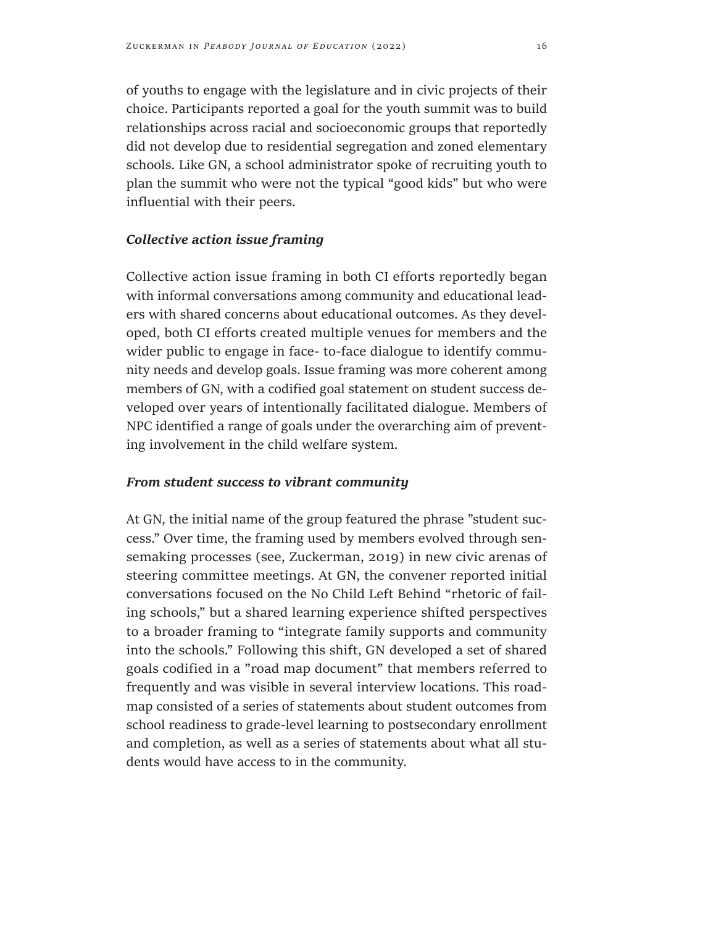of youths to engage with the legislature and in civic projects of their choice. Participants reported a goal for the youth summit was to build relationships across racial and socioeconomic groups that reportedly did not develop due to residential segregation and zoned elementary schools. Like GN, a school administrator spoke of recruiting youth to plan the summit who were not the typical "good kids" but who were influential with their peers.

#### *Collective action issue framing*

Collective action issue framing in both CI efforts reportedly began with informal conversations among community and educational leaders with shared concerns about educational outcomes. As they developed, both CI efforts created multiple venues for members and the wider public to engage in face- to-face dialogue to identify community needs and develop goals. Issue framing was more coherent among members of GN, with a codified goal statement on student success developed over years of intentionally facilitated dialogue. Members of NPC identified a range of goals under the overarching aim of preventing involvement in the child welfare system.

#### *From student success to vibrant community*

At GN, the initial name of the group featured the phrase "student success." Over time, the framing used by members evolved through sensemaking processes (see, Zuckerman, 2019) in new civic arenas of steering committee meetings. At GN, the convener reported initial conversations focused on the No Child Left Behind "rhetoric of failing schools," but a shared learning experience shifted perspectives to a broader framing to "integrate family supports and community into the schools." Following this shift, GN developed a set of shared goals codified in a "road map document" that members referred to frequently and was visible in several interview locations. This roadmap consisted of a series of statements about student outcomes from school readiness to grade-level learning to postsecondary enrollment and completion, as well as a series of statements about what all students would have access to in the community.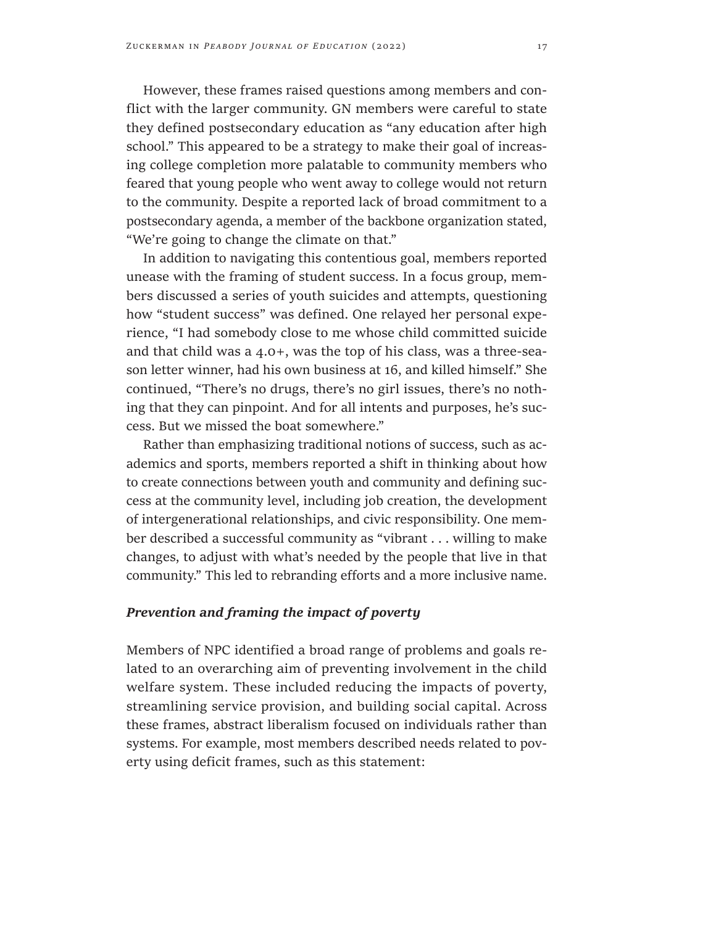However, these frames raised questions among members and conflict with the larger community. GN members were careful to state they defined postsecondary education as "any education after high school." This appeared to be a strategy to make their goal of increasing college completion more palatable to community members who feared that young people who went away to college would not return to the community. Despite a reported lack of broad commitment to a postsecondary agenda, a member of the backbone organization stated, "We're going to change the climate on that."

In addition to navigating this contentious goal, members reported unease with the framing of student success. In a focus group, members discussed a series of youth suicides and attempts, questioning how "student success" was defined. One relayed her personal experience, "I had somebody close to me whose child committed suicide and that child was a 4.0+, was the top of his class, was a three-season letter winner, had his own business at 16, and killed himself." She continued, "There's no drugs, there's no girl issues, there's no nothing that they can pinpoint. And for all intents and purposes, he's success. But we missed the boat somewhere."

Rather than emphasizing traditional notions of success, such as academics and sports, members reported a shift in thinking about how to create connections between youth and community and defining success at the community level, including job creation, the development of intergenerational relationships, and civic responsibility. One member described a successful community as "vibrant . . . willing to make changes, to adjust with what's needed by the people that live in that community." This led to rebranding efforts and a more inclusive name.

# *Prevention and framing the impact of poverty*

Members of NPC identified a broad range of problems and goals related to an overarching aim of preventing involvement in the child welfare system. These included reducing the impacts of poverty, streamlining service provision, and building social capital. Across these frames, abstract liberalism focused on individuals rather than systems. For example, most members described needs related to poverty using deficit frames, such as this statement: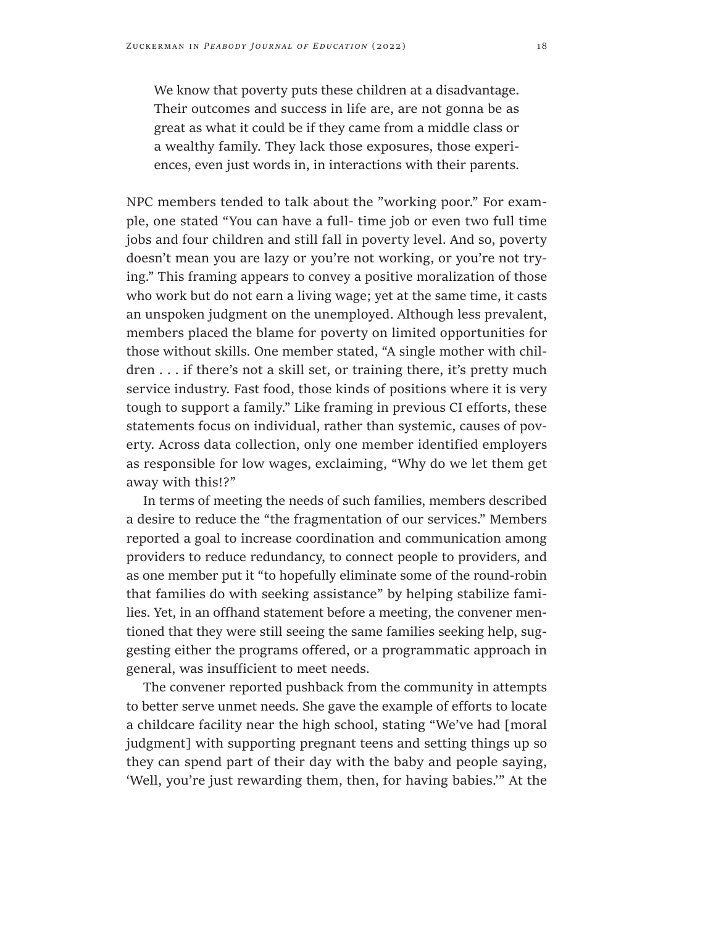We know that poverty puts these children at a disadvantage. Their outcomes and success in life are, are not gonna be as great as what it could be if they came from a middle class or a wealthy family. They lack those exposures, those experiences, even just words in, in interactions with their parents.

NPC members tended to talk about the "working poor." For example, one stated "You can have a full- time job or even two full time jobs and four children and still fall in poverty level. And so, poverty doesn't mean you are lazy or you're not working, or you're not trying." This framing appears to convey a positive moralization of those who work but do not earn a living wage; yet at the same time, it casts an unspoken judgment on the unemployed. Although less prevalent, members placed the blame for poverty on limited opportunities for those without skills. One member stated, "A single mother with children . . . if there's not a skill set, or training there, it's pretty much service industry. Fast food, those kinds of positions where it is very tough to support a family." Like framing in previous CI efforts, these statements focus on individual, rather than systemic, causes of poverty. Across data collection, only one member identified employers as responsible for low wages, exclaiming, "Why do we let them get away with this!?"

In terms of meeting the needs of such families, members described a desire to reduce the "the fragmentation of our services." Members reported a goal to increase coordination and communication among providers to reduce redundancy, to connect people to providers, and as one member put it "to hopefully eliminate some of the round-robin that families do with seeking assistance" by helping stabilize families. Yet, in an offhand statement before a meeting, the convener mentioned that they were still seeing the same families seeking help, suggesting either the programs offered, or a programmatic approach in general, was insufficient to meet needs.

The convener reported pushback from the community in attempts to better serve unmet needs. She gave the example of efforts to locate a childcare facility near the high school, stating "We've had [moral judgment] with supporting pregnant teens and setting things up so they can spend part of their day with the baby and people saying, 'Well, you're just rewarding them, then, for having babies.'" At the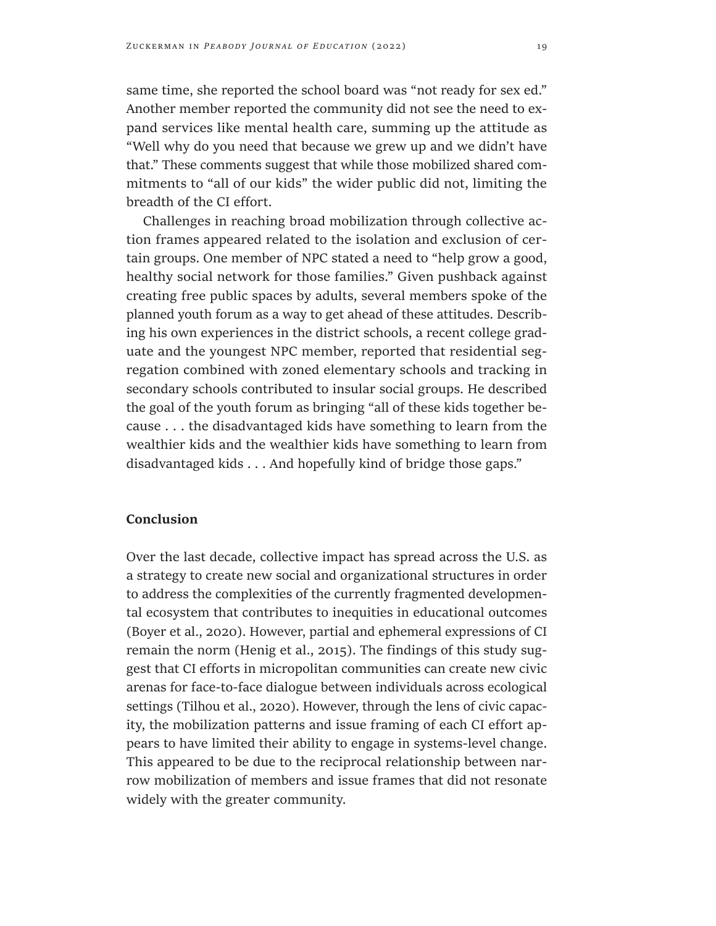same time, she reported the school board was "not ready for sex ed." Another member reported the community did not see the need to expand services like mental health care, summing up the attitude as "Well why do you need that because we grew up and we didn't have that." These comments suggest that while those mobilized shared commitments to "all of our kids" the wider public did not, limiting the breadth of the CI effort.

Challenges in reaching broad mobilization through collective action frames appeared related to the isolation and exclusion of certain groups. One member of NPC stated a need to "help grow a good, healthy social network for those families." Given pushback against creating free public spaces by adults, several members spoke of the planned youth forum as a way to get ahead of these attitudes. Describing his own experiences in the district schools, a recent college graduate and the youngest NPC member, reported that residential segregation combined with zoned elementary schools and tracking in secondary schools contributed to insular social groups. He described the goal of the youth forum as bringing "all of these kids together because . . . the disadvantaged kids have something to learn from the wealthier kids and the wealthier kids have something to learn from disadvantaged kids . . . And hopefully kind of bridge those gaps."

# **Conclusion**

Over the last decade, collective impact has spread across the U.S. as a strategy to create new social and organizational structures in order to address the complexities of the currently fragmented developmental ecosystem that contributes to inequities in educational outcomes (Boyer et al., 2020). However, partial and ephemeral expressions of CI remain the norm (Henig et al., 2015). The findings of this study suggest that CI efforts in micropolitan communities can create new civic arenas for face-to-face dialogue between individuals across ecological settings (Tilhou et al., 2020). However, through the lens of civic capacity, the mobilization patterns and issue framing of each CI effort appears to have limited their ability to engage in systems-level change. This appeared to be due to the reciprocal relationship between narrow mobilization of members and issue frames that did not resonate widely with the greater community.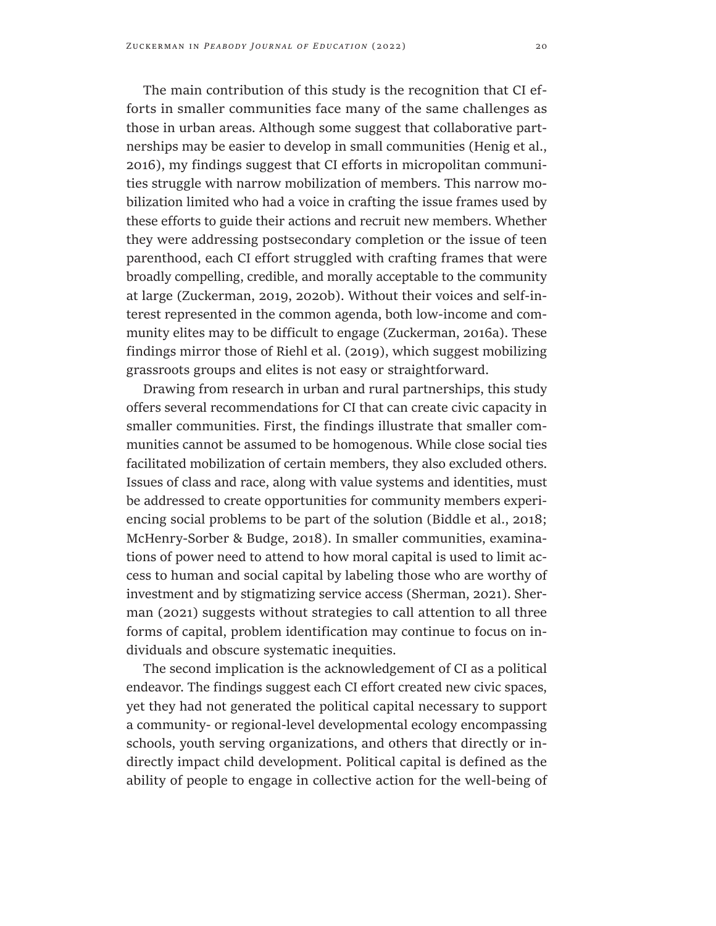The main contribution of this study is the recognition that CI efforts in smaller communities face many of the same challenges as those in urban areas. Although some suggest that collaborative partnerships may be easier to develop in small communities (Henig et al., 2016), my findings suggest that CI efforts in micropolitan communities struggle with narrow mobilization of members. This narrow mobilization limited who had a voice in crafting the issue frames used by these efforts to guide their actions and recruit new members. Whether they were addressing postsecondary completion or the issue of teen parenthood, each CI effort struggled with crafting frames that were broadly compelling, credible, and morally acceptable to the community at large (Zuckerman, 2019, 2020b). Without their voices and self-interest represented in the common agenda, both low-income and community elites may to be difficult to engage (Zuckerman, 2016a). These findings mirror those of Riehl et al. (2019), which suggest mobilizing grassroots groups and elites is not easy or straightforward.

Drawing from research in urban and rural partnerships, this study offers several recommendations for CI that can create civic capacity in smaller communities. First, the findings illustrate that smaller communities cannot be assumed to be homogenous. While close social ties facilitated mobilization of certain members, they also excluded others. Issues of class and race, along with value systems and identities, must be addressed to create opportunities for community members experiencing social problems to be part of the solution (Biddle et al., 2018; McHenry-Sorber & Budge, 2018). In smaller communities, examinations of power need to attend to how moral capital is used to limit access to human and social capital by labeling those who are worthy of investment and by stigmatizing service access (Sherman, 2021). Sherman (2021) suggests without strategies to call attention to all three forms of capital, problem identification may continue to focus on individuals and obscure systematic inequities.

The second implication is the acknowledgement of CI as a political endeavor. The findings suggest each CI effort created new civic spaces, yet they had not generated the political capital necessary to support a community- or regional-level developmental ecology encompassing schools, youth serving organizations, and others that directly or indirectly impact child development. Political capital is defined as the ability of people to engage in collective action for the well-being of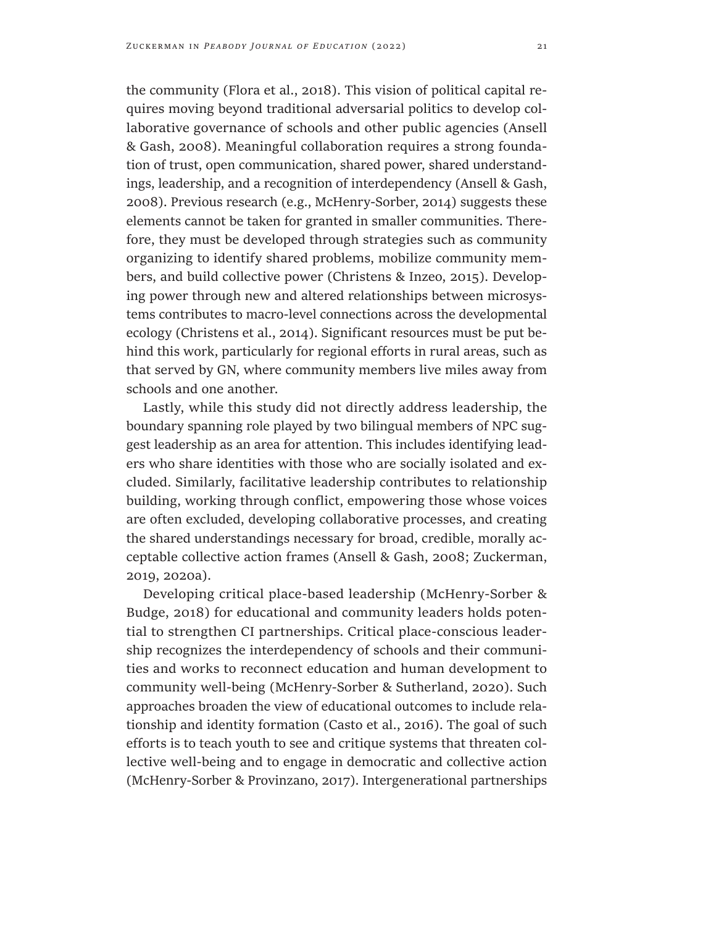the community (Flora et al., 2018). This vision of political capital requires moving beyond traditional adversarial politics to develop collaborative governance of schools and other public agencies (Ansell & Gash, 2008). Meaningful collaboration requires a strong foundation of trust, open communication, shared power, shared understandings, leadership, and a recognition of interdependency (Ansell & Gash, 2008). Previous research (e.g., McHenry-Sorber, 2014) suggests these elements cannot be taken for granted in smaller communities. Therefore, they must be developed through strategies such as community organizing to identify shared problems, mobilize community members, and build collective power (Christens & Inzeo, 2015). Developing power through new and altered relationships between microsystems contributes to macro-level connections across the developmental ecology (Christens et al., 2014). Significant resources must be put behind this work, particularly for regional efforts in rural areas, such as that served by GN, where community members live miles away from schools and one another.

Lastly, while this study did not directly address leadership, the boundary spanning role played by two bilingual members of NPC suggest leadership as an area for attention. This includes identifying leaders who share identities with those who are socially isolated and excluded. Similarly, facilitative leadership contributes to relationship building, working through conflict, empowering those whose voices are often excluded, developing collaborative processes, and creating the shared understandings necessary for broad, credible, morally acceptable collective action frames (Ansell & Gash, 2008; Zuckerman, 2019, 2020a).

Developing critical place-based leadership (McHenry-Sorber & Budge, 2018) for educational and community leaders holds potential to strengthen CI partnerships. Critical place-conscious leadership recognizes the interdependency of schools and their communities and works to reconnect education and human development to community well-being (McHenry-Sorber & Sutherland, 2020). Such approaches broaden the view of educational outcomes to include relationship and identity formation (Casto et al., 2016). The goal of such efforts is to teach youth to see and critique systems that threaten collective well-being and to engage in democratic and collective action (McHenry-Sorber & Provinzano, 2017). Intergenerational partnerships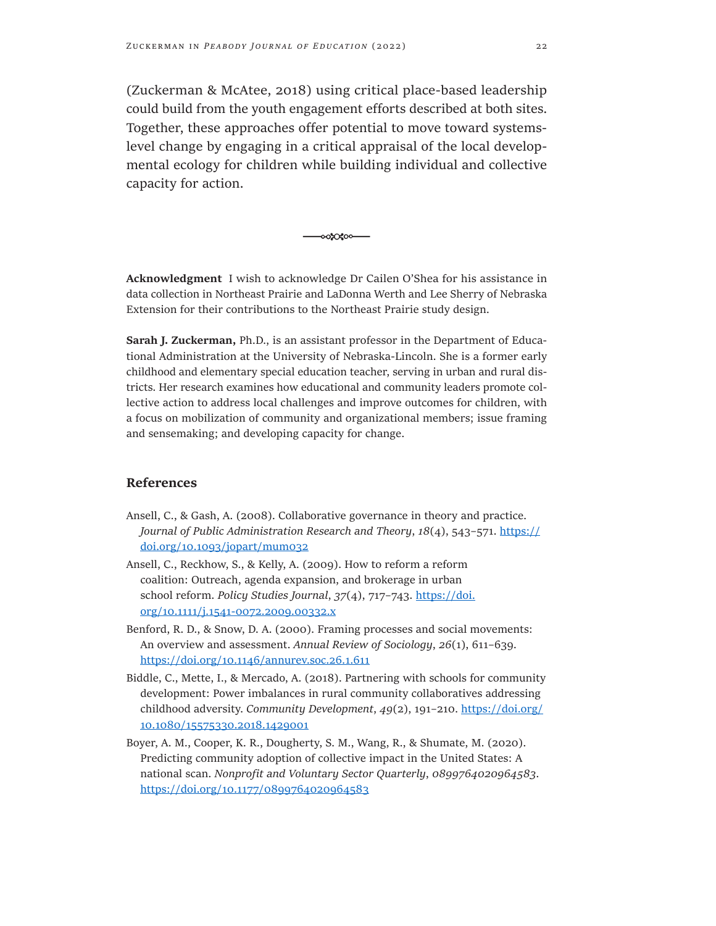(Zuckerman & McAtee, 2018) using critical place-based leadership could build from the youth engagement efforts described at both sites. Together, these approaches offer potential to move toward systemslevel change by engaging in a critical appraisal of the local developmental ecology for children while building individual and collective capacity for action.

**Acknowledgment** I wish to acknowledge Dr Cailen O'Shea for his assistance in data collection in Northeast Prairie and LaDonna Werth and Lee Sherry of Nebraska Extension for their contributions to the Northeast Prairie study design.

-ಂಎಂಬಿಂ-

**Sarah J. Zuckerman,** Ph.D., is an assistant professor in the Department of Educational Administration at the University of Nebraska-Lincoln. She is a former early childhood and elementary special education teacher, serving in urban and rural districts. Her research examines how educational and community leaders promote collective action to address local challenges and improve outcomes for children, with a focus on mobilization of community and organizational members; issue framing and sensemaking; and developing capacity for change.

#### **References**

- Ansell, C., & Gash, A. (2008). Collaborative governance in theory and practice. *Journal of Public Administration Research and Theory*, *18*(4), 543–571. [https://](https://doi.org/10.1093/jopart/mum032) [doi.org/10.1093/jopart/mum032](https://doi.org/10.1093/jopart/mum032)
- Ansell, C., Reckhow, S., & Kelly, A. (2009). How to reform a reform coalition: Outreach, agenda expansion, and brokerage in urban school reform. *Policy Studies Journal*, *37*(4), 717–743. [https://doi.](https://doi.org/10.1111/j.1541-0072.2009.00332.x) [org/10.1111/j.1541-0072.2009.00332.x](https://doi.org/10.1111/j.1541-0072.2009.00332.x)
- Benford, R. D., & Snow, D. A. (2000). Framing processes and social movements: An overview and assessment. *Annual Review of Sociology*, *26*(1), 611–639. <https://doi.org/10.1146/annurev.soc.26.1.611>
- Biddle, C., Mette, I., & Mercado, A. (2018). Partnering with schools for community development: Power imbalances in rural community collaboratives addressing childhood adversity. *Community Development*, *49*(2), 191–210. [https://doi.org/](https://doi.org/10.1080/15575330.2018.1429001) [10.1080/15575330.2018.1429001](https://doi.org/10.1080/15575330.2018.1429001)
- Boyer, A. M., Cooper, K. R., Dougherty, S. M., Wang, R., & Shumate, M. (2020). Predicting community adoption of collective impact in the United States: A national scan. *Nonprofit and Voluntary Sector Quarterly*, *0899764020964583*. <https://doi.org/10.1177/0899764020964583>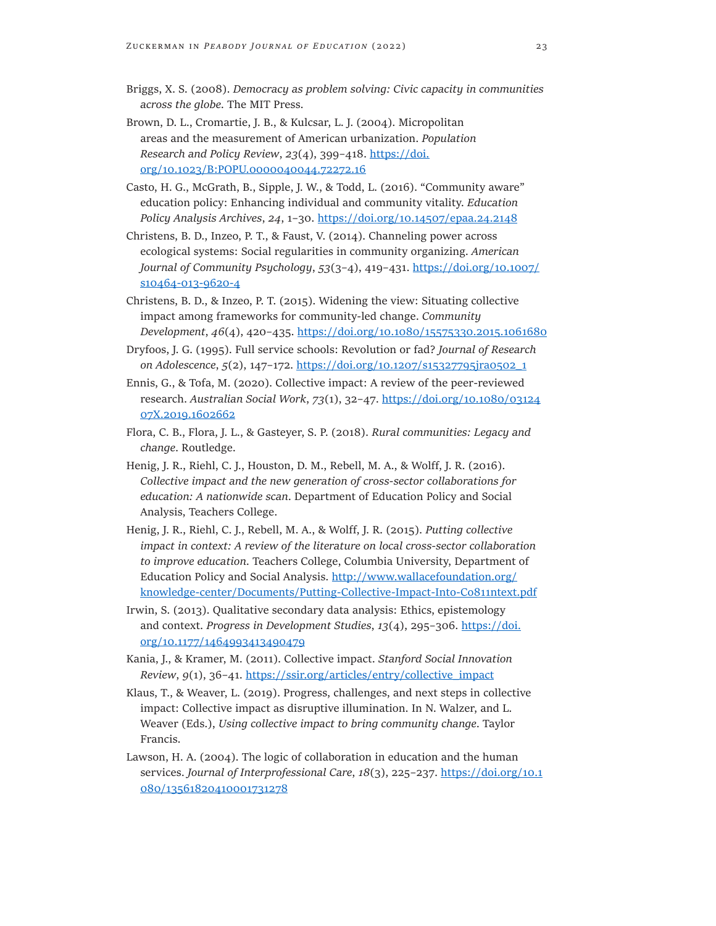- Briggs, X. S. (2008). *Democracy as problem solving: Civic capacity in communities across the globe*. The MIT Press.
- Brown, D. L., Cromartie, J. B., & Kulcsar, L. J. (2004). Micropolitan areas and the measurement of American urbanization. *Population Research and Policy Review*, *23*(4), 399–418. [https://doi.](https://doi.org/10.1023/B:POPU.0000040044.72272.16) [org/10.1023/B:POPU.0000040044.72272.16](https://doi.org/10.1023/B:POPU.0000040044.72272.16)
- Casto, H. G., McGrath, B., Sipple, J. W., & Todd, L. (2016). "Community aware" education policy: Enhancing individual and community vitality. *Education Policy Analysis Archives*, *24*, 1–30. <https://doi.org/10.14507/epaa.24.2148>
- Christens, B. D., Inzeo, P. T., & Faust, V. (2014). Channeling power across ecological systems: Social regularities in community organizing. *American Journal of Community Psychology*, *53*(3–4), 419–431. [https://doi.org/10.1007/](https://doi.org/10.1007/s10464-013-9620-4) [s10464-013-9620-4](https://doi.org/10.1007/s10464-013-9620-4)
- Christens, B. D., & Inzeo, P. T. (2015). Widening the view: Situating collective impact among frameworks for community-led change. *Community Development*, *46*(4), 420–435.<https://doi.org/10.1080/15575330.2015.1061680>
- Dryfoos, J. G. (1995). Full service schools: Revolution or fad? *Journal of Research on Adolescence*, *5*(2), 147–172. [https://doi.org/10.1207/s15327795jra0502\\_1](https://doi.org/10.1207/s15327795jra0502_1)
- Ennis, G., & Tofa, M. (2020). Collective impact: A review of the peer-reviewed research. *Australian Social Work*, *73*(1), 32–47. [https://doi.org/10.1080/03124](https://doi.org/10.1080/0312407X.2019.1602662) [07X.2019.1602662](https://doi.org/10.1080/0312407X.2019.1602662)
- Flora, C. B., Flora, J. L., & Gasteyer, S. P. (2018). *Rural communities: Legacy and change*. Routledge.
- Henig, J. R., Riehl, C. J., Houston, D. M., Rebell, M. A., & Wolff, J. R. (2016). *Collective impact and the new generation of cross-sector collaborations for education: A nationwide scan*. Department of Education Policy and Social Analysis, Teachers College.
- Henig, J. R., Riehl, C. J., Rebell, M. A., & Wolff, J. R. (2015). *Putting collective impact in context: A review of the literature on local cross-sector collaboration to improve education*. Teachers College, Columbia University, Department of Education Policy and Social Analysis. [http://www.wallacefoundation.org/](http://www.wallacefoundation.org/knowledge-center/Documents/Putting-Collective-Impact-Into-Co811ntext.pdf) [knowledge-center/Documents/Putting-Collective-Impact-Into-Co811ntext.pdf](http://www.wallacefoundation.org/knowledge-center/Documents/Putting-Collective-Impact-Into-Co811ntext.pdf)
- Irwin, S. (2013). Qualitative secondary data analysis: Ethics, epistemology and context. *Progress in Development Studies*, *13*(4), 295–306. [https://doi.](https://doi.org/10.1177/1464993413490479) [org/10.1177/1464993413490479](https://doi.org/10.1177/1464993413490479)
- Kania, J., & Kramer, M. (2011). Collective impact. *Stanford Social Innovation Review*, *9*(1), 36–41. [https://ssir.org/articles/entry/collective\\_impact](https://ssir.org/articles/entry/collective_impact)
- Klaus, T., & Weaver, L. (2019). Progress, challenges, and next steps in collective impact: Collective impact as disruptive illumination. In N. Walzer, and L. Weaver (Eds.), *Using collective impact to bring community change*. Taylor Francis.
- Lawson, H. A. (2004). The logic of collaboration in education and the human services. *Journal of Interprofessional Care*, *18*(3), 225–237. [https://doi.org/10.1](https://doi.org/10.1080/13561820410001731278) [080/13561820410001731278](https://doi.org/10.1080/13561820410001731278)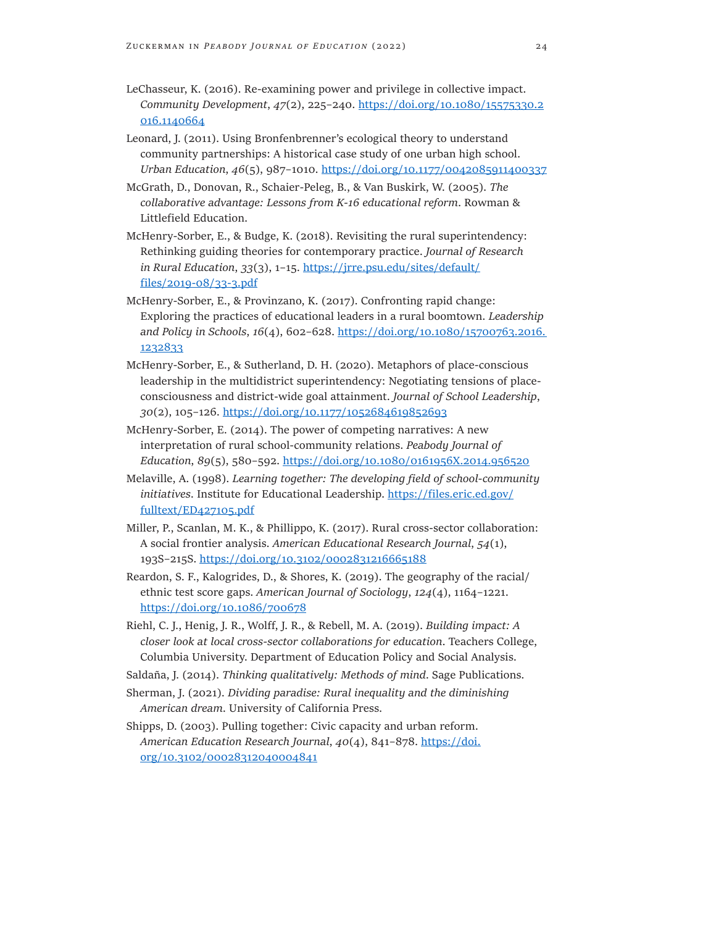- LeChasseur, K. (2016). Re-examining power and privilege in collective impact. *Community Development*, *47*(2), 225–240. [https://doi.org/10.1080/15575330.2](https://doi.org/10.1080/15575330.2016.1140664) [016.1140664](https://doi.org/10.1080/15575330.2016.1140664)
- Leonard, J. (2011). Using Bronfenbrenner's ecological theory to understand community partnerships: A historical case study of one urban high school. *Urban Education*, *46*(5), 987–1010. <https://doi.org/10.1177/0042085911400337>
- McGrath, D., Donovan, R., Schaier-Peleg, B., & Van Buskirk, W. (2005). *The collaborative advantage: Lessons from K-16 educational reform*. Rowman & Littlefield Education.
- McHenry-Sorber, E., & Budge, K. (2018). Revisiting the rural superintendency: Rethinking guiding theories for contemporary practice. *Journal of Research in Rural Education*, *33*(3), 1–15. [https://jrre.psu.edu/sites/default/](https://jrre.psu.edu/sites/default/files/2019-08/33-3.pdf) [files/2019-08/33-3.pdf](https://jrre.psu.edu/sites/default/files/2019-08/33-3.pdf)
- McHenry-Sorber, E., & Provinzano, K. (2017). Confronting rapid change: Exploring the practices of educational leaders in a rural boomtown. *Leadership and Policy in Schools*, *16*(4), 602–628. [https://doi.org/10.1080/15700763.2016.](https://doi.org/10.1080/15700763.2016. 1232833)  [1232833](https://doi.org/10.1080/15700763.2016. 1232833)
- McHenry-Sorber, E., & Sutherland, D. H. (2020). Metaphors of place-conscious leadership in the multidistrict superintendency: Negotiating tensions of placeconsciousness and district-wide goal attainment. *Journal of School Leadership*, *30*(2), 105–126. <https://doi.org/10.1177/1052684619852693>
- McHenry-Sorber, E. (2014). The power of competing narratives: A new interpretation of rural school-community relations. *Peabody Journal of Education*, *89*(5), 580–592. <https://doi.org/10.1080/0161956X.2014.956520>
- Melaville, A. (1998). *Learning together: The developing field of school-community initiatives*. Institute for Educational Leadership. [https://files.eric.ed.gov/](file:///E:/00%20Articles%20%26%20Proposals/Denver%202022/.gov/fulltext/ED427105.pdf) [fulltext/ED427105.pdf](file:///E:/00%20Articles%20%26%20Proposals/Denver%202022/.gov/fulltext/ED427105.pdf)
- Miller, P., Scanlan, M. K., & Phillippo, K. (2017). Rural cross-sector collaboration: A social frontier analysis. *American Educational Research Journal*, *54*(1), 193S-215S. <https://doi.org/10.3102/0002831216665188>
- Reardon, S. F., Kalogrides, D., & Shores, K. (2019). The geography of the racial/ ethnic test score gaps. *American Journal of Sociology*, *124*(4), 1164–1221. <https://doi.org/10.1086/700678>
- Riehl, C. J., Henig, J. R., Wolff, J. R., & Rebell, M. A. (2019). *Building impact: A closer look at local cross-sector collaborations for education*. Teachers College, Columbia University. Department of Education Policy and Social Analysis.
- Saldaña, J. (2014). *Thinking qualitatively: Methods of mind*. Sage Publications.
- Sherman, J. (2021). *Dividing paradise: Rural inequality and the diminishing American dream*. University of California Press.
- Shipps, D. (2003). Pulling together: Civic capacity and urban reform. *American Education Research Journal*, *40*(4), 841–878. [https://doi.](https://doi.org/10.3102/00028312040004841) [org/10.3102/00028312040004841](https://doi.org/10.3102/00028312040004841)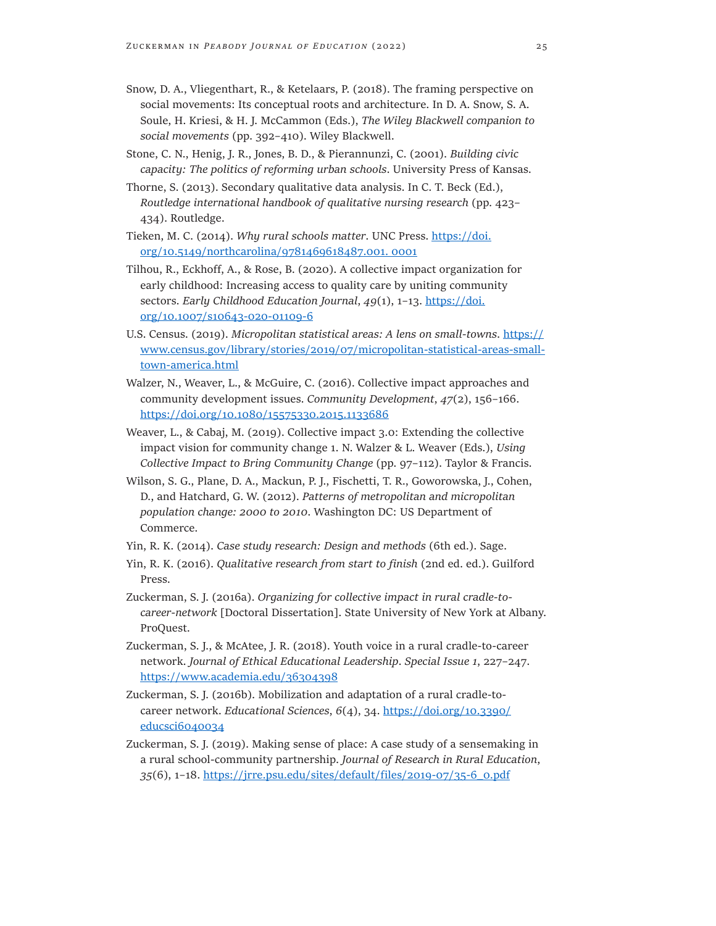- Snow, D. A., Vliegenthart, R., & Ketelaars, P. (2018). The framing perspective on social movements: Its conceptual roots and architecture. In D. A. Snow, S. A. Soule, H. Kriesi, & H. J. McCammon (Eds.), *The Wiley Blackwell companion to social movements* (pp. 392–410). Wiley Blackwell.
- Stone, C. N., Henig, J. R., Jones, B. D., & Pierannunzi, C. (2001). *Building civic capacity: The politics of reforming urban schools*. University Press of Kansas.
- Thorne, S. (2013). Secondary qualitative data analysis. In C. T. Beck (Ed.), *Routledge international handbook of qualitative nursing research* (pp. 423– 434). Routledge.
- Tieken, M. C. (2014). *Why rural schools matter*. UNC Press. [https://doi.](https://doi.org/10.5149/northcarolina/9781469618487.001. 0001) [org/10.5149/northcarolina/9781469618487.001. 0001](https://doi.org/10.5149/northcarolina/9781469618487.001. 0001)
- Tilhou, R., Eckhoff, A., & Rose, B. (2020). A collective impact organization for early childhood: Increasing access to quality care by uniting community sectors. *Early Childhood Education Journal*, *49*(1), 1–13. [https://doi.](https://doi.org/10.1007/s10643-020-01109-6) [org/10.1007/s10643-020-01109-6](https://doi.org/10.1007/s10643-020-01109-6)
- U.S. Census. (2019). *Micropolitan statistical areas: A lens on small-towns*. [https://](https://www.census.gov/library/stories/2019/07/micropolitan-statistical-areas-small-town-america.html) [www.census.gov/library/stories/2019/07/micropolitan-statistical-areas-small](https://www.census.gov/library/stories/2019/07/micropolitan-statistical-areas-small-town-america.html)[town-america.html](https://www.census.gov/library/stories/2019/07/micropolitan-statistical-areas-small-town-america.html)
- Walzer, N., Weaver, L., & McGuire, C. (2016). Collective impact approaches and community development issues. *Community Development*, *47*(2), 156–166. <https://doi.org/10.1080/15575330.2015.1133686>
- Weaver, L., & Cabaj, M. (2019). Collective impact 3.0: Extending the collective impact vision for community change 1. N. Walzer & L. Weaver (Eds.), *Using Collective Impact to Bring Community Change* (pp. 97–112). Taylor & Francis.
- Wilson, S. G., Plane, D. A., Mackun, P. J., Fischetti, T. R., Goworowska, J., Cohen, D., and Hatchard, G. W. (2012). *Patterns of metropolitan and micropolitan population change: 2000 to 2010*. Washington DC: US Department of Commerce.
- Yin, R. K. (2014). *Case study research: Design and methods* (6th ed.). Sage.
- Yin, R. K. (2016). *Qualitative research from start to finish* (2nd ed. ed.). Guilford Press.
- Zuckerman, S. J. (2016a). *Organizing for collective impact in rural cradle-tocareer-network* [Doctoral Dissertation]. State University of New York at Albany. ProQuest.
- Zuckerman, S. J., & McAtee, J. R. (2018). Youth voice in a rural cradle-to-career network. *Journal of Ethical Educational Leadership*. *Special Issue 1*, 227–247. <https://www.academia.edu/36304398>
- Zuckerman, S. J. (2016b). Mobilization and adaptation of a rural cradle-tocareer network. *Educational Sciences*, *6*(4), 34. [https://doi.org/10.3390/](https://doi.org/10.3390/educsci6040034) [educsci6040034](https://doi.org/10.3390/educsci6040034)
- Zuckerman, S. J. (2019). Making sense of place: A case study of a sensemaking in a rural school-community partnership. *Journal of Research in Rural Education*, *35*(6), 1–18. [https://jrre.psu.edu/sites/default/files/2019-07/35-6\\_0.pdf](https://jrre.psu.edu/sites/default/files/2019-07/35-6_0.pdf)